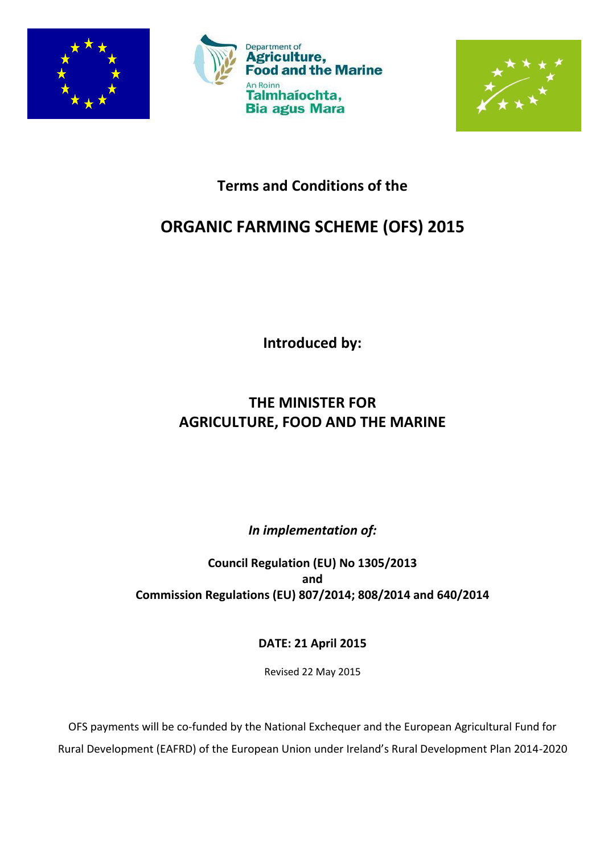





## **Terms and Conditions of the**

# **ORGANIC FARMING SCHEME (OFS) 2015**

**Introduced by:**

## **THE MINISTER FOR AGRICULTURE, FOOD AND THE MARINE**

*In implementation of:*

**Council Regulation (EU) No 1305/2013 and Commission Regulations (EU) 807/2014; 808/2014 and 640/2014**

**DATE: 21 April 2015**

Revised 22 May 2015

OFS payments will be co-funded by the National Exchequer and the European Agricultural Fund for Rural Development (EAFRD) of the European Union under Ireland's Rural Development Plan 2014-2020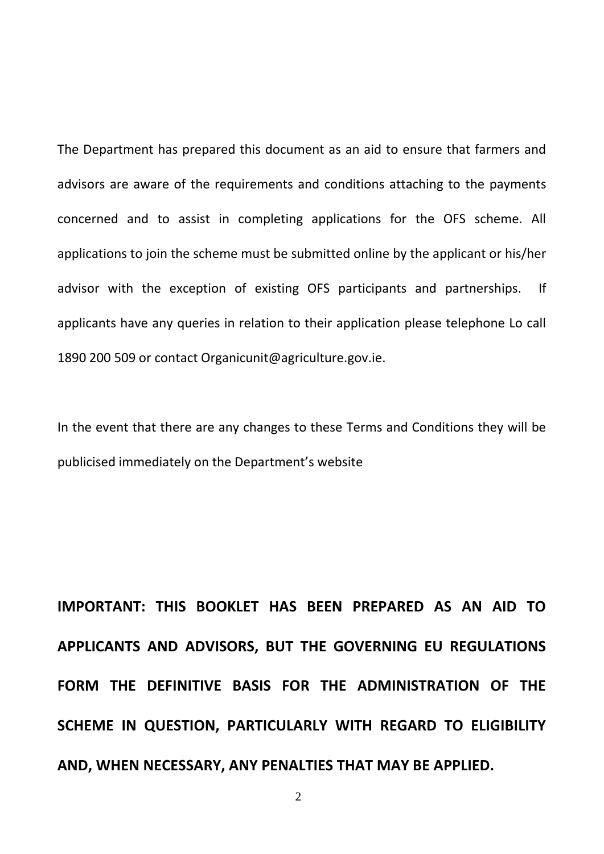The Department has prepared this document as an aid to ensure that farmers and advisors are aware of the requirements and conditions attaching to the payments concerned and to assist in completing applications for the OFS scheme. All applications to join the scheme must be submitted online by the applicant or his/her advisor with the exception of existing OFS participants and partnerships. If applicants have any queries in relation to their application please telephone Lo call 1890 200 509 or contact Organicunit@agriculture.gov.ie.

In the event that there are any changes to these Terms and Conditions they will be publicised immediately on the Department's website

**IMPORTANT: THIS BOOKLET HAS BEEN PREPARED AS AN AID TO APPLICANTS AND ADVISORS, BUT THE GOVERNING EU REGULATIONS FORM THE DEFINITIVE BASIS FOR THE ADMINISTRATION OF THE SCHEME IN QUESTION, PARTICULARLY WITH REGARD TO ELIGIBILITY AND, WHEN NECESSARY, ANY PENALTIES THAT MAY BE APPLIED.**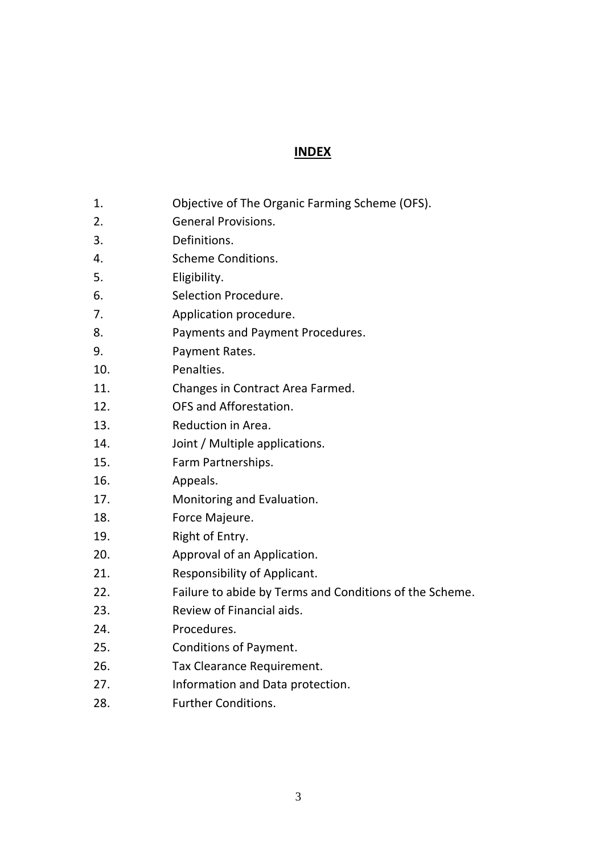## **INDEX**

- 1. Objective of The Organic Farming Scheme (OFS).
- 2. General Provisions.
- 3. Definitions.
- 4. Scheme Conditions.
- 5. Eligibility.
- 6. Selection Procedure.
- 7. Application procedure.
- 8. Payments and Payment Procedures.
- 9. Payment Rates.
- 10. Penalties.
- 11. Changes in Contract Area Farmed.
- 12. OFS and Afforestation.
- 13. Reduction in Area.
- 14. Joint / Multiple applications.
- 15. Farm Partnerships.
- 16. Appeals.
- 17. Monitoring and Evaluation.
- 18. Force Majeure.
- 19. Right of Entry.
- 20. Approval of an Application.
- 21. Responsibility of Applicant.
- 22. Failure to abide by Terms and Conditions of the Scheme.
- 23. Review of Financial aids.
- 24. Procedures.
- 25. Conditions of Payment.
- 26. Tax Clearance Requirement.
- 27. Information and Data protection.
- 28. Further Conditions.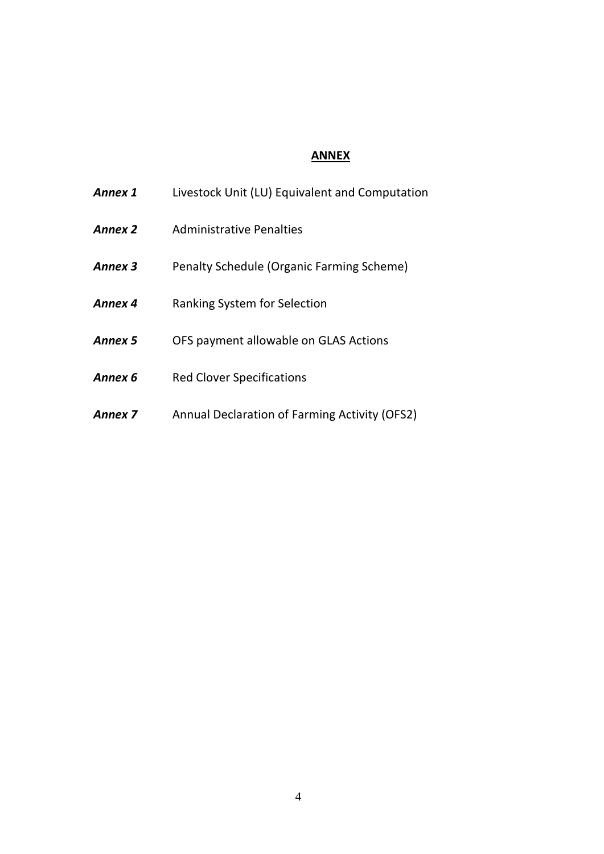## **ANNEX**

| Annex 1        | Livestock Unit (LU) Equivalent and Computation |
|----------------|------------------------------------------------|
| <b>Annex 2</b> | Administrative Penalties                       |
| Annex 3        | Penalty Schedule (Organic Farming Scheme)      |
| Annex 4        | Ranking System for Selection                   |
| Annex 5        | OFS payment allowable on GLAS Actions          |
| Annex 6        | <b>Red Clover Specifications</b>               |
| Annex 7        | Annual Declaration of Farming Activity (OFS2)  |
|                |                                                |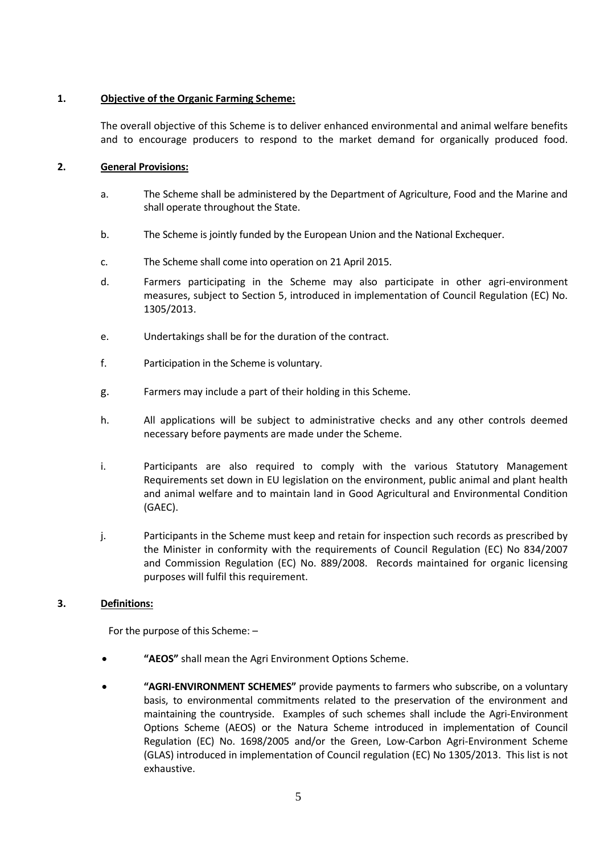#### **1. Objective of the Organic Farming Scheme:**

The overall objective of this Scheme is to deliver enhanced environmental and animal welfare benefits and to encourage producers to respond to the market demand for organically produced food.

#### **2. General Provisions:**

- a. The Scheme shall be administered by the Department of Agriculture, Food and the Marine and shall operate throughout the State.
- b. The Scheme is jointly funded by the European Union and the National Exchequer.
- c. The Scheme shall come into operation on 21 April 2015.
- d. Farmers participating in the Scheme may also participate in other agri-environment measures, subject to Section 5, introduced in implementation of Council Regulation (EC) No. 1305/2013.
- e. Undertakings shall be for the duration of the contract.
- f. Participation in the Scheme is voluntary.
- g. Farmers may include a part of their holding in this Scheme.
- h. All applications will be subject to administrative checks and any other controls deemed necessary before payments are made under the Scheme.
- i. Participants are also required to comply with the various Statutory Management Requirements set down in EU legislation on the environment, public animal and plant health and animal welfare and to maintain land in Good Agricultural and Environmental Condition (GAEC).
- j. Participants in the Scheme must keep and retain for inspection such records as prescribed by the Minister in conformity with the requirements of Council Regulation (EC) No 834/2007 and Commission Regulation (EC) No. 889/2008. Records maintained for organic licensing purposes will fulfil this requirement.

#### **3. Definitions:**

For the purpose of this Scheme: –

- **"AEOS"** shall mean the Agri Environment Options Scheme.
- **"AGRI-ENVIRONMENT SCHEMES"** provide payments to farmers who subscribe, on a voluntary basis, to environmental commitments related to the preservation of the environment and maintaining the countryside. Examples of such schemes shall include the Agri-Environment Options Scheme (AEOS) or the Natura Scheme introduced in implementation of Council Regulation (EC) No. 1698/2005 and/or the Green, Low-Carbon Agri-Environment Scheme (GLAS) introduced in implementation of Council regulation (EC) No 1305/2013. This list is not exhaustive.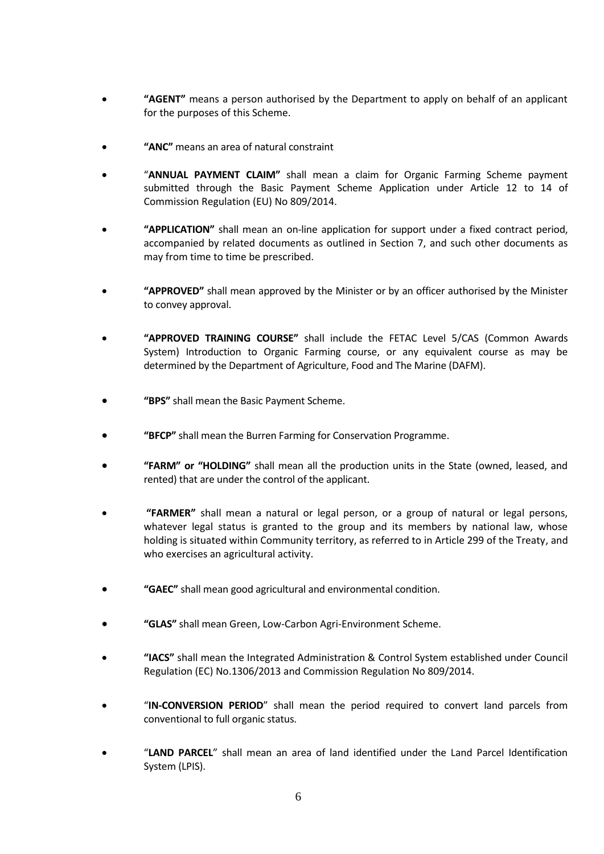- **"AGENT"** means a person authorised by the Department to apply on behalf of an applicant for the purposes of this Scheme.
- **"ANC"** means an area of natural constraint
- "**ANNUAL PAYMENT CLAIM"** shall mean a claim for Organic Farming Scheme payment submitted through the Basic Payment Scheme Application under Article 12 to 14 of Commission Regulation (EU) No 809/2014.
- **"APPLICATION"** shall mean an on-line application for support under a fixed contract period, accompanied by related documents as outlined in Section 7, and such other documents as may from time to time be prescribed.
- **"APPROVED"** shall mean approved by the Minister or by an officer authorised by the Minister to convey approval.
- **"APPROVED TRAINING COURSE"** shall include the FETAC Level 5/CAS (Common Awards System) Introduction to Organic Farming course, or any equivalent course as may be determined by the Department of Agriculture, Food and The Marine (DAFM).
- **"BPS"** shall mean the Basic Payment Scheme.
- **"BFCP"** shall mean the Burren Farming for Conservation Programme.
- **"FARM" or "HOLDING"** shall mean all the production units in the State (owned, leased, and rented) that are under the control of the applicant.
- **"FARMER"** shall mean a natural or legal person, or a group of natural or legal persons, whatever legal status is granted to the group and its members by national law, whose holding is situated within Community territory, as referred to in Article 299 of the Treaty, and who exercises an agricultural activity.
- **"GAEC"** shall mean good agricultural and environmental condition.
- **"GLAS"** shall mean Green, Low-Carbon Agri-Environment Scheme.
- **"IACS"** shall mean the Integrated Administration & Control System established under Council Regulation (EC) No.1306/2013 and Commission Regulation No 809/2014.
- "**IN-CONVERSION PERIOD**" shall mean the period required to convert land parcels from conventional to full organic status.
- "**LAND PARCEL**" shall mean an area of land identified under the Land Parcel Identification System (LPIS).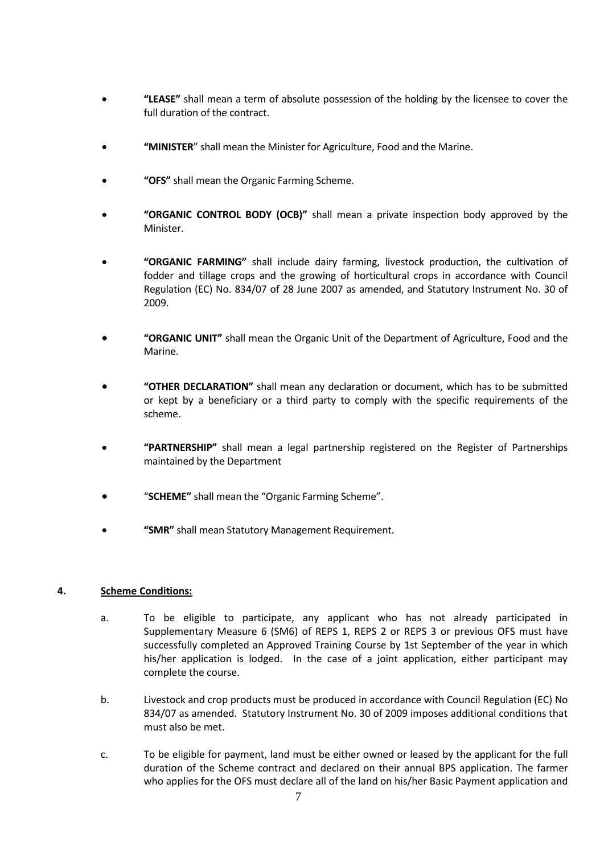- **"LEASE"** shall mean a term of absolute possession of the holding by the licensee to cover the full duration of the contract.
- **"MINISTER**" shall mean the Minister for Agriculture, Food and the Marine.
- **"OFS"** shall mean the Organic Farming Scheme.
- **"ORGANIC CONTROL BODY (OCB)"** shall mean a private inspection body approved by the Minister.
- **"ORGANIC FARMING"** shall include dairy farming, livestock production, the cultivation of fodder and tillage crops and the growing of horticultural crops in accordance with Council Regulation (EC) No. 834/07 of 28 June 2007 as amended, and Statutory Instrument No. 30 of 2009.
- **"ORGANIC UNIT"** shall mean the Organic Unit of the Department of Agriculture, Food and the Marine.
- **"OTHER DECLARATION"** shall mean any declaration or document, which has to be submitted or kept by a beneficiary or a third party to comply with the specific requirements of the scheme.
- **"PARTNERSHIP"** shall mean a legal partnership registered on the Register of Partnerships maintained by the Department
- "**SCHEME"** shall mean the "Organic Farming Scheme".
- **"SMR"** shall mean Statutory Management Requirement.

#### **4. Scheme Conditions:**

- a. To be eligible to participate, any applicant who has not already participated in Supplementary Measure 6 (SM6) of REPS 1, REPS 2 or REPS 3 or previous OFS must have successfully completed an Approved Training Course by 1st September of the year in which his/her application is lodged. In the case of a joint application, either participant may complete the course.
- b. Livestock and crop products must be produced in accordance with Council Regulation (EC) No 834/07 as amended. Statutory Instrument No. 30 of 2009 imposes additional conditions that must also be met.
- c. To be eligible for payment, land must be either owned or leased by the applicant for the full duration of the Scheme contract and declared on their annual BPS application. The farmer who applies for the OFS must declare all of the land on his/her Basic Payment application and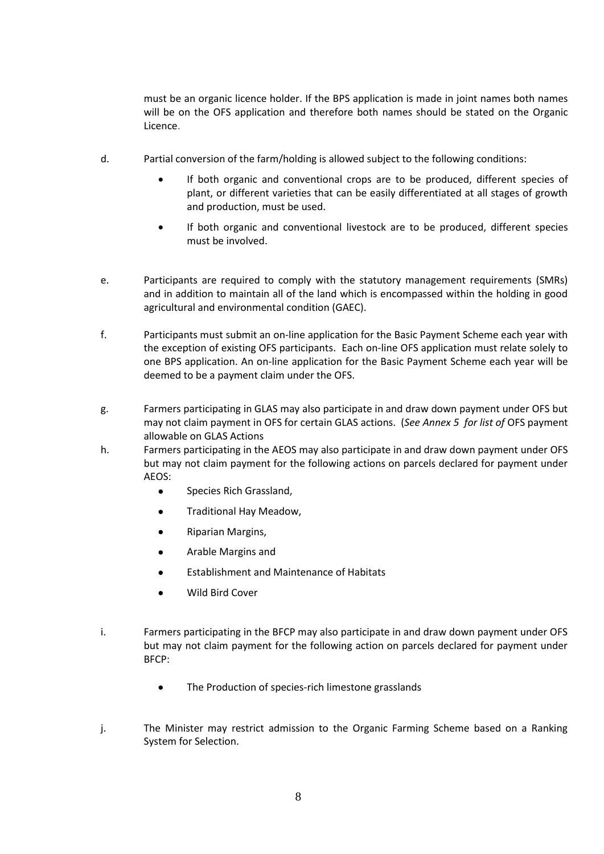must be an organic licence holder. If the BPS application is made in joint names both names will be on the OFS application and therefore both names should be stated on the Organic Licence.

- d. Partial conversion of the farm/holding is allowed subject to the following conditions:
	- If both organic and conventional crops are to be produced, different species of plant, or different varieties that can be easily differentiated at all stages of growth and production, must be used.
	- If both organic and conventional livestock are to be produced, different species must be involved.
- e. Participants are required to comply with the statutory management requirements (SMRs) and in addition to maintain all of the land which is encompassed within the holding in good agricultural and environmental condition (GAEC).
- f. Participants must submit an on-line application for the Basic Payment Scheme each year with the exception of existing OFS participants. Each on-line OFS application must relate solely to one BPS application. An on-line application for the Basic Payment Scheme each year will be deemed to be a payment claim under the OFS.
- g. Farmers participating in GLAS may also participate in and draw down payment under OFS but may not claim payment in OFS for certain GLAS actions. (*See Annex 5 for list of* OFS payment allowable on GLAS Actions
- h. Farmers participating in the AEOS may also participate in and draw down payment under OFS but may not claim payment for the following actions on parcels declared for payment under AEOS:
	- **•** Species Rich Grassland,
	- **•** Traditional Hay Meadow,
	- **•** Riparian Margins,
	- Arable Margins and
	- Establishment and Maintenance of Habitats
	- Wild Bird Cover
- i. Farmers participating in the BFCP may also participate in and draw down payment under OFS but may not claim payment for the following action on parcels declared for payment under BFCP:
	- The Production of species-rich limestone grasslands
- j. The Minister may restrict admission to the Organic Farming Scheme based on a Ranking System for Selection.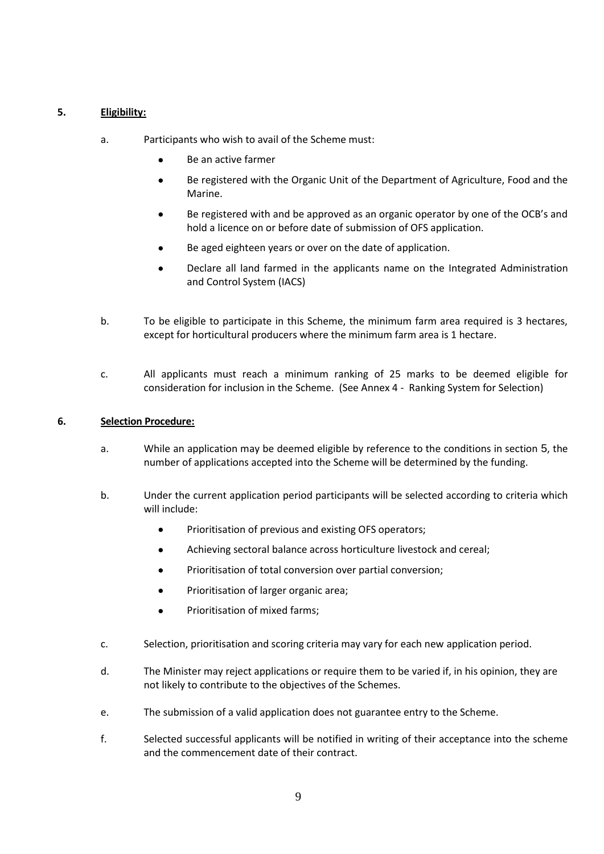#### <span id="page-8-0"></span>**5. Eligibility:**

- a. Participants who wish to avail of the Scheme must:
	- Be an active farmer
	- Be registered with the Organic Unit of the Department of Agriculture, Food and the Marine.
	- Be registered with and be approved as an organic operator by one of the OCB's and hold a licence on or before date of submission of OFS application.
	- Be aged eighteen years or over on the date of application.
	- Declare all land farmed in the applicants name on the Integrated Administration and Control System (IACS)
- b. To be eligible to participate in this Scheme, the minimum farm area required is 3 hectares, except for horticultural producers where the minimum farm area is 1 hectare.
- c. All applicants must reach a minimum ranking of 25 marks to be deemed eligible for consideration for inclusion in the Scheme. (See Annex 4 - Ranking System for Selection)

#### **6. Selection Procedure:**

- a. While an application may be deemed eligible by reference to the conditions in section [5](#page-8-0), the number of applications accepted into the Scheme will be determined by the funding.
- b. Under the current application period participants will be selected according to criteria which will include:
	- Prioritisation of previous and existing OFS operators;
	- Achieving sectoral balance across horticulture livestock and cereal;
	- Prioritisation of total conversion over partial conversion;
	- Prioritisation of larger organic area;
	- Prioritisation of mixed farms;
- c. Selection, prioritisation and scoring criteria may vary for each new application period.
- d. The Minister may reject applications or require them to be varied if, in his opinion, they are not likely to contribute to the objectives of the Schemes.
- e. The submission of a valid application does not guarantee entry to the Scheme.
- f. Selected successful applicants will be notified in writing of their acceptance into the scheme and the commencement date of their contract.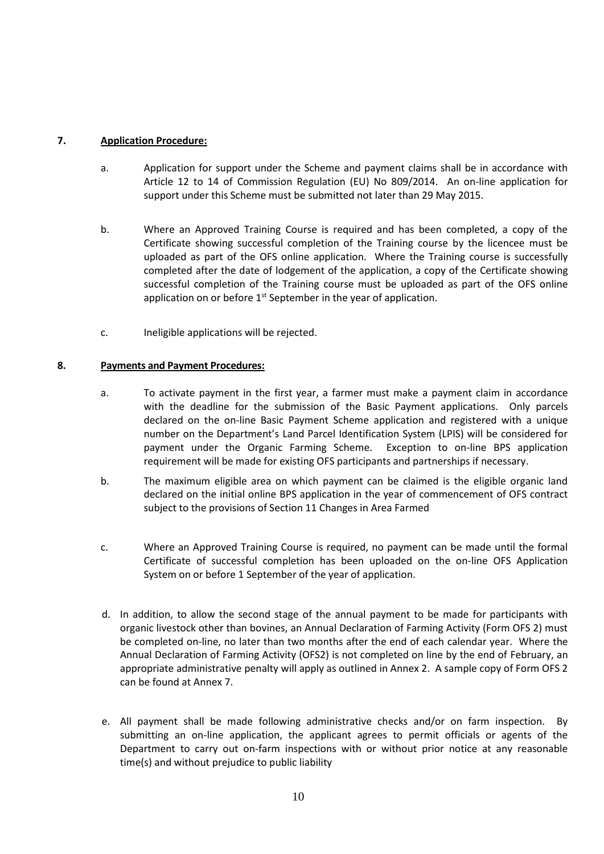### **7. Application Procedure:**

- a. Application for support under the Scheme and payment claims shall be in accordance with Article 12 to 14 of Commission Regulation (EU) No 809/2014. An on-line application for support under this Scheme must be submitted not later than 29 May 2015.
- b. Where an Approved Training Course is required and has been completed, a copy of the Certificate showing successful completion of the Training course by the licencee must be uploaded as part of the OFS online application. Where the Training course is successfully completed after the date of lodgement of the application, a copy of the Certificate showing successful completion of the Training course must be uploaded as part of the OFS online application on or before 1<sup>st</sup> September in the year of application.
- c. Ineligible applications will be rejected.

#### **8. Payments and Payment Procedures:**

- a. To activate payment in the first year, a farmer must make a payment claim in accordance with the deadline for the submission of the Basic Payment applications. Only parcels declared on the on-line Basic Payment Scheme application and registered with a unique number on the Department's Land Parcel Identification System (LPIS) will be considered for payment under the Organic Farming Scheme. Exception to on-line BPS application requirement will be made for existing OFS participants and partnerships if necessary.
- b. The maximum eligible area on which payment can be claimed is the eligible organic land declared on the initial online BPS application in the year of commencement of OFS contract subject to the provisions of Section 11 Changes in Area Farmed
- c. Where an Approved Training Course is required, no payment can be made until the formal Certificate of successful completion has been uploaded on the on-line OFS Application System on or before 1 September of the year of application.
- d. In addition, to allow the second stage of the annual payment to be made for participants with organic livestock other than bovines, an Annual Declaration of Farming Activity (Form OFS 2) must be completed on-line, no later than two months after the end of each calendar year. Where the Annual Declaration of Farming Activity (OFS2) is not completed on line by the end of February, an appropriate administrative penalty will apply as outlined in Annex 2. A sample copy of Form OFS 2 can be found at Annex 7.
- e. All payment shall be made following administrative checks and/or on farm inspection. By submitting an on-line application, the applicant agrees to permit officials or agents of the Department to carry out on-farm inspections with or without prior notice at any reasonable time(s) and without prejudice to public liability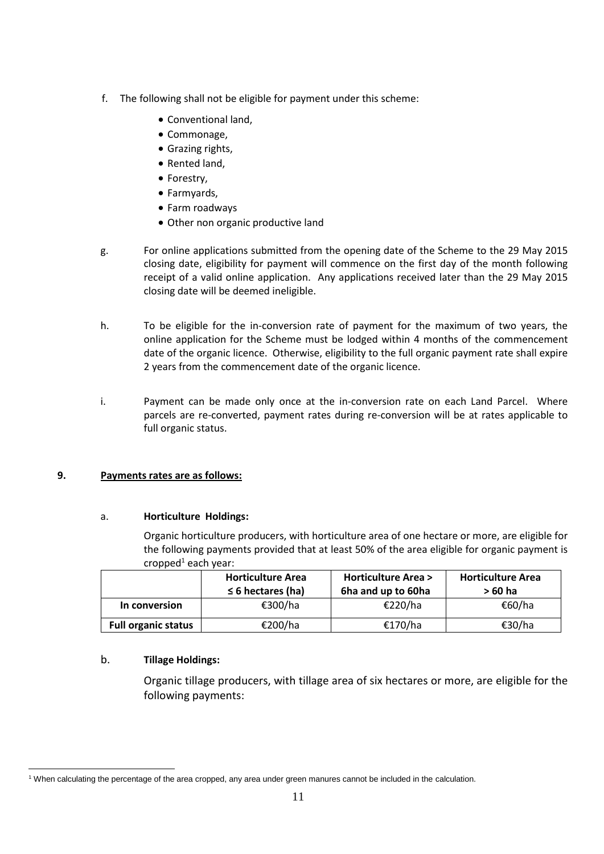- f. The following shall not be eligible for payment under this scheme:
	- Conventional land,
	- Commonage,
	- Grazing rights,
	- Rented land,
	- Forestry,
	- Farmyards,
	- Farm roadways
	- Other non organic productive land
- g. For online applications submitted from the opening date of the Scheme to the 29 May 2015 closing date, eligibility for payment will commence on the first day of the month following receipt of a valid online application. Any applications received later than the 29 May 2015 closing date will be deemed ineligible.
- h. To be eligible for the in-conversion rate of payment for the maximum of two years, the online application for the Scheme must be lodged within 4 months of the commencement date of the organic licence. Otherwise, eligibility to the full organic payment rate shall expire 2 years from the commencement date of the organic licence.
- i. Payment can be made only once at the in-conversion rate on each Land Parcel. Where parcels are re-converted, payment rates during re-conversion will be at rates applicable to full organic status.

#### **9. Payments rates are as follows:**

#### a. **Horticulture Holdings:**

Organic horticulture producers, with horticulture area of one hectare or more, are eligible for the following payments provided that at least 50% of the area eligible for organic payment is  $c$ ropped $1$  each year:

|                            | <b>Horticulture Area</b><br>$\leq$ 6 hectares (ha) | <b>Horticulture Area &gt;</b><br>6ha and up to 60ha | <b>Horticulture Area</b><br>> 60 ha |  |  |
|----------------------------|----------------------------------------------------|-----------------------------------------------------|-------------------------------------|--|--|
| In conversion              | €300/ha                                            | €220/ha                                             | €60/ha                              |  |  |
| <b>Full organic status</b> | €200/ha                                            | €170/ha                                             | €30/ha                              |  |  |

#### b. **Tillage Holdings:**

 $\overline{a}$ 

Organic tillage producers, with tillage area of six hectares or more, are eligible for the following payments:

<sup>1</sup> When calculating the percentage of the area cropped, any area under green manures cannot be included in the calculation.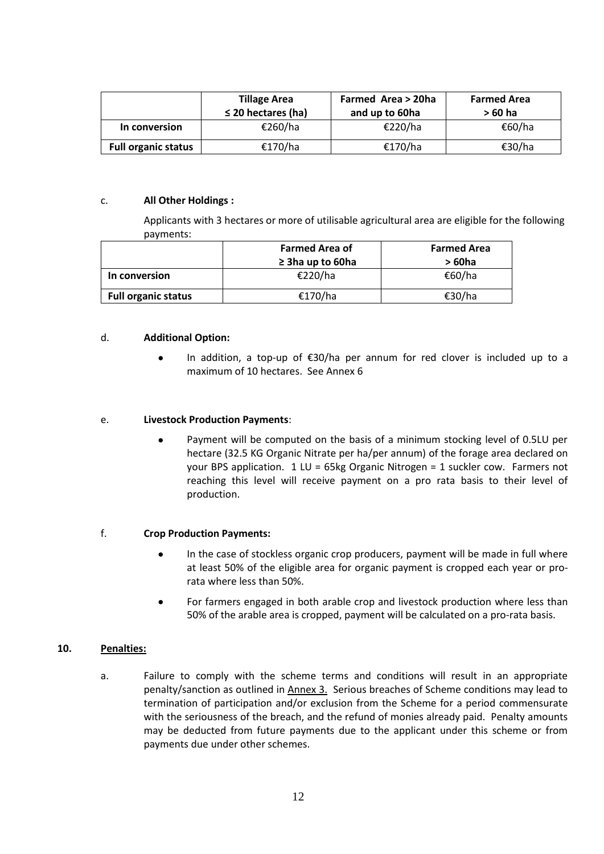|                            | <b>Tillage Area</b><br>$\leq$ 20 hectares (ha) | <b>Farmed Area &gt; 20ha</b><br>and up to 60ha | <b>Farmed Area</b><br>$>60$ ha |  |  |  |
|----------------------------|------------------------------------------------|------------------------------------------------|--------------------------------|--|--|--|
| In conversion              | €260/ha                                        | €220/ha                                        | €60/ha                         |  |  |  |
| <b>Full organic status</b> | €170/ha                                        | €170/ha                                        | €30/ha                         |  |  |  |

#### c. **All Other Holdings :**

Applicants with 3 hectares or more of utilisable agricultural area are eligible for the following payments:

|                            | <b>Farmed Area of</b>   | <b>Farmed Area</b> |  |  |
|----------------------------|-------------------------|--------------------|--|--|
|                            | $\geq$ 3 ha up to 60 ha | > 60ha             |  |  |
| In conversion              | €220/ha                 | €60/ha             |  |  |
| <b>Full organic status</b> | €170/ha                 | €30/ha             |  |  |

#### d. **Additional Option:**

In addition, a top-up of  $\epsilon$ 30/ha per annum for red clover is included up to a maximum of 10 hectares. See Annex 6

#### e. **Livestock Production Payments**:

 Payment will be computed on the basis of a minimum stocking level of 0.5LU per hectare (32.5 KG Organic Nitrate per ha/per annum) of the forage area declared on your BPS application. 1 LU = 65kg Organic Nitrogen = 1 suckler cow. Farmers not reaching this level will receive payment on a pro rata basis to their level of production.

#### f. **Crop Production Payments:**

- In the case of stockless organic crop producers, payment will be made in full where at least 50% of the eligible area for organic payment is cropped each year or prorata where less than 50%.
- For farmers engaged in both arable crop and livestock production where less than 50% of the arable area is cropped, payment will be calculated on a pro-rata basis.

#### **10. Penalties:**

a. Failure to comply with the scheme terms and conditions will result in an appropriate penalty/sanction as outlined in Annex 3. Serious breaches of Scheme conditions may lead to termination of participation and/or exclusion from the Scheme for a period commensurate with the seriousness of the breach, and the refund of monies already paid. Penalty amounts may be deducted from future payments due to the applicant under this scheme or from payments due under other schemes.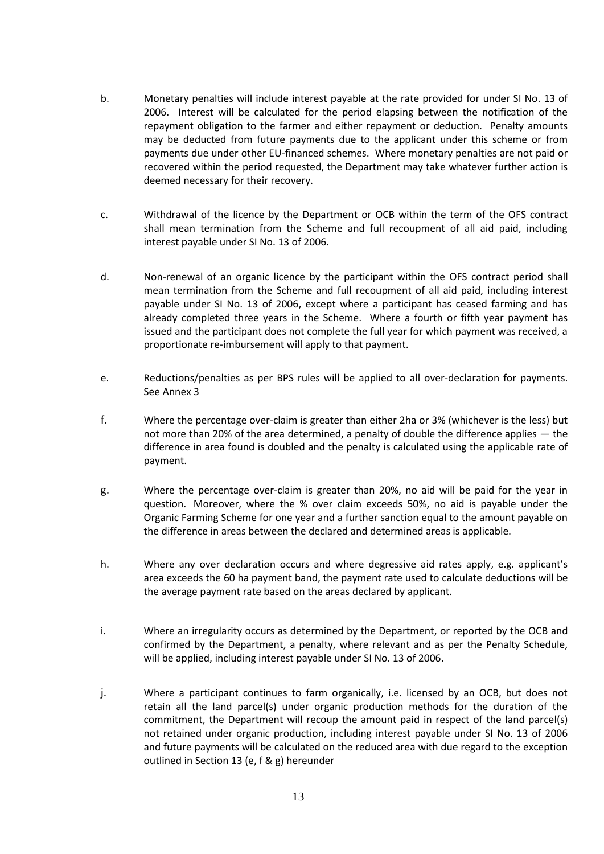- b. Monetary penalties will include interest payable at the rate provided for under SI No. 13 of 2006. Interest will be calculated for the period elapsing between the notification of the repayment obligation to the farmer and either repayment or deduction. Penalty amounts may be deducted from future payments due to the applicant under this scheme or from payments due under other EU-financed schemes. Where monetary penalties are not paid or recovered within the period requested, the Department may take whatever further action is deemed necessary for their recovery.
- c. Withdrawal of the licence by the Department or OCB within the term of the OFS contract shall mean termination from the Scheme and full recoupment of all aid paid, including interest payable under SI No. 13 of 2006.
- d. Non-renewal of an organic licence by the participant within the OFS contract period shall mean termination from the Scheme and full recoupment of all aid paid, including interest payable under SI No. 13 of 2006, except where a participant has ceased farming and has already completed three years in the Scheme. Where a fourth or fifth year payment has issued and the participant does not complete the full year for which payment was received, a proportionate re-imbursement will apply to that payment.
- e. Reductions/penalties as per BPS rules will be applied to all over-declaration for payments. See Annex 3
- f. Where the percentage over-claim is greater than either 2ha or 3% (whichever is the less) but not more than 20% of the area determined, a penalty of double the difference applies — the difference in area found is doubled and the penalty is calculated using the applicable rate of payment.
- g. Where the percentage over-claim is greater than 20%, no aid will be paid for the year in question. Moreover, where the % over claim exceeds 50%, no aid is payable under the Organic Farming Scheme for one year and a further sanction equal to the amount payable on the difference in areas between the declared and determined areas is applicable.
- h. Where any over declaration occurs and where degressive aid rates apply, e.g. applicant's area exceeds the 60 ha payment band, the payment rate used to calculate deductions will be the average payment rate based on the areas declared by applicant.
- i. Where an irregularity occurs as determined by the Department, or reported by the OCB and confirmed by the Department, a penalty, where relevant and as per the Penalty Schedule, will be applied, including interest payable under SI No. 13 of 2006.
- j. Where a participant continues to farm organically, i.e. licensed by an OCB, but does not retain all the land parcel(s) under organic production methods for the duration of the commitment, the Department will recoup the amount paid in respect of the land parcel(s) not retained under organic production, including interest payable under SI No. 13 of 2006 and future payments will be calculated on the reduced area with due regard to the exception outlined in Section 13 (e, f & g) hereunder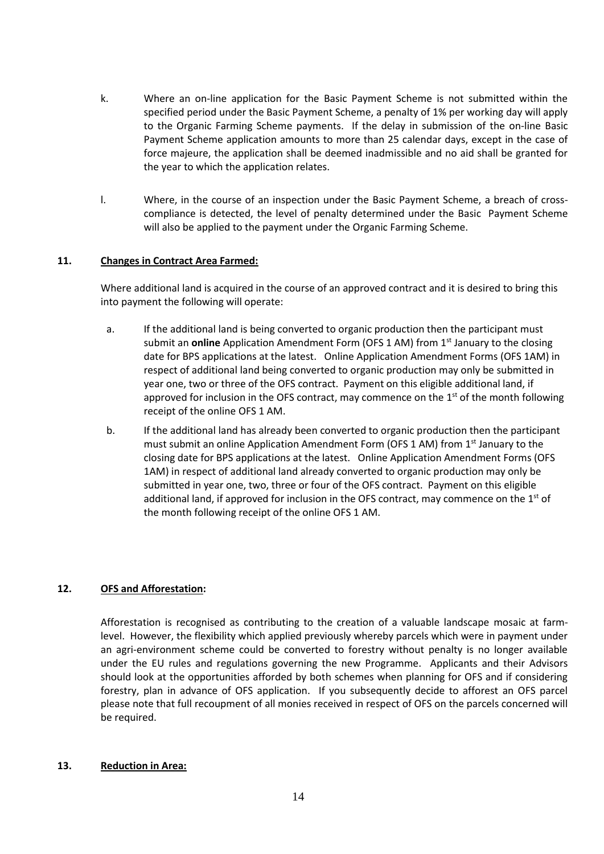- k. Where an on-line application for the Basic Payment Scheme is not submitted within the specified period under the Basic Payment Scheme, a penalty of 1% per working day will apply to the Organic Farming Scheme payments. If the delay in submission of the on-line Basic Payment Scheme application amounts to more than 25 calendar days, except in the case of force majeure, the application shall be deemed inadmissible and no aid shall be granted for the year to which the application relates.
- l. Where, in the course of an inspection under the Basic Payment Scheme, a breach of crosscompliance is detected, the level of penalty determined under the Basic Payment Scheme will also be applied to the payment under the Organic Farming Scheme.

#### **11. Changes in Contract Area Farmed:**

Where additional land is acquired in the course of an approved contract and it is desired to bring this into payment the following will operate:

- a. If the additional land is being converted to organic production then the participant must submit an **online** Application Amendment Form (OFS 1 AM) from 1<sup>st</sup> January to the closing date for BPS applications at the latest. Online Application Amendment Forms (OFS 1AM) in respect of additional land being converted to organic production may only be submitted in year one, two or three of the OFS contract. Payment on this eligible additional land, if approved for inclusion in the OFS contract, may commence on the 1<sup>st</sup> of the month following receipt of the online OFS 1 AM.
- b. If the additional land has already been converted to organic production then the participant must submit an online Application Amendment Form (OFS 1 AM) from 1<sup>st</sup> January to the closing date for BPS applications at the latest. Online Application Amendment Forms (OFS 1AM) in respect of additional land already converted to organic production may only be submitted in year one, two, three or four of the OFS contract. Payment on this eligible additional land, if approved for inclusion in the OFS contract, may commence on the  $1<sup>st</sup>$  of the month following receipt of the online OFS 1 AM.

#### **12. OFS and Afforestation:**

Afforestation is recognised as contributing to the creation of a valuable landscape mosaic at farmlevel. However, the flexibility which applied previously whereby parcels which were in payment under an agri-environment scheme could be converted to forestry without penalty is no longer available under the EU rules and regulations governing the new Programme. Applicants and their Advisors should look at the opportunities afforded by both schemes when planning for OFS and if considering forestry, plan in advance of OFS application. If you subsequently decide to afforest an OFS parcel please note that full recoupment of all monies received in respect of OFS on the parcels concerned will be required.

#### **13. Reduction in Area:**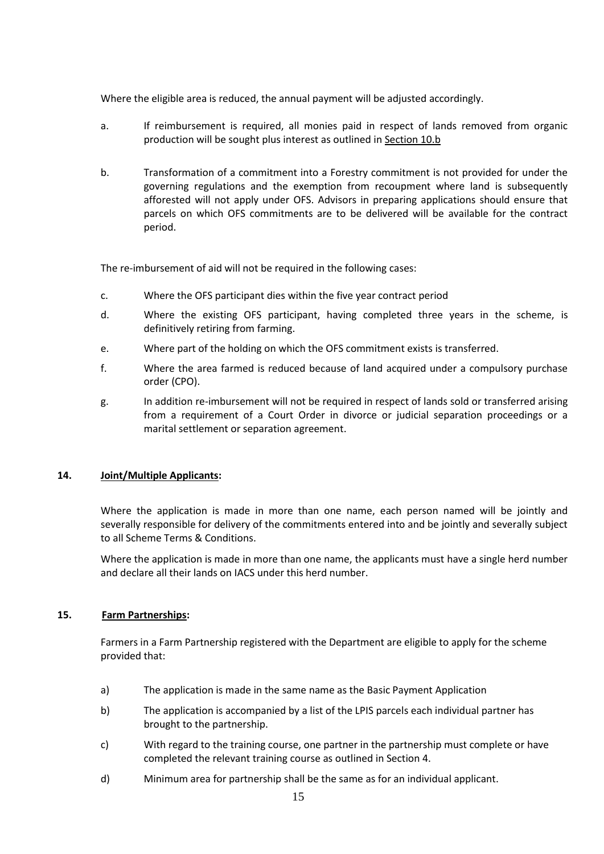Where the eligible area is reduced, the annual payment will be adjusted accordingly.

- a. If reimbursement is required, all monies paid in respect of lands removed from organic production will be sought plus interest as outlined in Section 10.b
- b. Transformation of a commitment into a Forestry commitment is not provided for under the governing regulations and the exemption from recoupment where land is subsequently afforested will not apply under OFS. Advisors in preparing applications should ensure that parcels on which OFS commitments are to be delivered will be available for the contract period.

The re-imbursement of aid will not be required in the following cases:

- c. Where the OFS participant dies within the five year contract period
- d. Where the existing OFS participant, having completed three years in the scheme, is definitively retiring from farming.
- e. Where part of the holding on which the OFS commitment exists is transferred.
- f. Where the area farmed is reduced because of land acquired under a compulsory purchase order (CPO).
- g. In addition re-imbursement will not be required in respect of lands sold or transferred arising from a requirement of a Court Order in divorce or judicial separation proceedings or a marital settlement or separation agreement.

#### **14. Joint/Multiple Applicants:**

Where the application is made in more than one name, each person named will be jointly and severally responsible for delivery of the commitments entered into and be jointly and severally subject to all Scheme Terms & Conditions.

Where the application is made in more than one name, the applicants must have a single herd number and declare all their lands on IACS under this herd number.

#### **15. Farm Partnerships:**

Farmers in a Farm Partnership registered with the Department are eligible to apply for the scheme provided that:

- a) The application is made in the same name as the Basic Payment Application
- b) The application is accompanied by a list of the LPIS parcels each individual partner has brought to the partnership.
- c) With regard to the training course, one partner in the partnership must complete or have completed the relevant training course as outlined in Section 4.
- d) Minimum area for partnership shall be the same as for an individual applicant.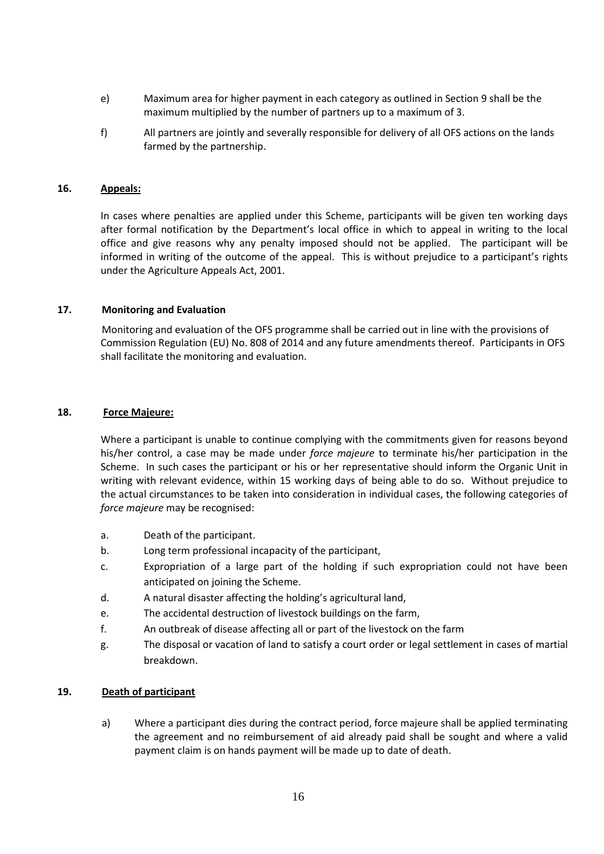- e) Maximum area for higher payment in each category as outlined in Section 9 shall be the maximum multiplied by the number of partners up to a maximum of 3.
- f) All partners are jointly and severally responsible for delivery of all OFS actions on the lands farmed by the partnership.

#### **16. Appeals:**

In cases where penalties are applied under this Scheme, participants will be given ten working days after formal notification by the Department's local office in which to appeal in writing to the local office and give reasons why any penalty imposed should not be applied.The participant will be informed in writing of the outcome of the appeal. This is without prejudice to a participant's rights under the Agriculture Appeals Act, 2001.

#### **17. Monitoring and Evaluation**

Monitoring and evaluation of the OFS programme shall be carried out in line with the provisions of Commission Regulation (EU) No. 808 of 2014 and any future amendments thereof. Participants in OFS shall facilitate the monitoring and evaluation.

#### **18. Force Majeure:**

Where a participant is unable to continue complying with the commitments given for reasons beyond his/her control, a case may be made under *force majeure* to terminate his/her participation in the Scheme. In such cases the participant or his or her representative should inform the Organic Unit in writing with relevant evidence, within 15 working days of being able to do so. Without prejudice to the actual circumstances to be taken into consideration in individual cases, the following categories of *force majeure* may be recognised:

- a. Death of the participant.
- b. Long term professional incapacity of the participant,
- c. Expropriation of a large part of the holding if such expropriation could not have been anticipated on joining the Scheme.
- d. A natural disaster affecting the holding's agricultural land,
- e. The accidental destruction of livestock buildings on the farm,
- f. An outbreak of disease affecting all or part of the livestock on the farm
- g. The disposal or vacation of land to satisfy a court order or legal settlement in cases of martial breakdown.

#### **19. Death of participant**

a) Where a participant dies during the contract period, force majeure shall be applied terminating the agreement and no reimbursement of aid already paid shall be sought and where a valid payment claim is on hands payment will be made up to date of death.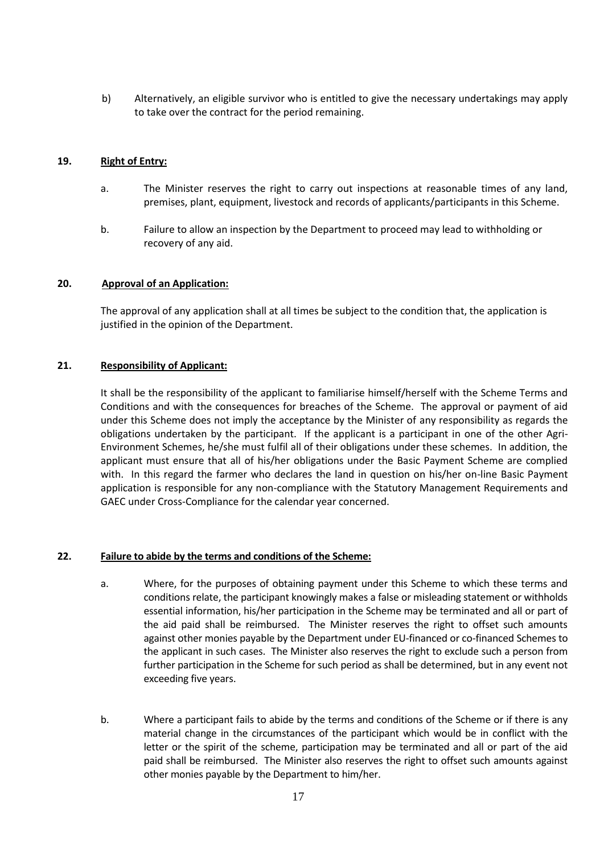b) Alternatively, an eligible survivor who is entitled to give the necessary undertakings may apply to take over the contract for the period remaining.

#### **19. Right of Entry:**

- a. The Minister reserves the right to carry out inspections at reasonable times of any land, premises, plant, equipment, livestock and records of applicants/participants in this Scheme.
- b. Failure to allow an inspection by the Department to proceed may lead to withholding or recovery of any aid.

#### **20. Approval of an Application:**

The approval of any application shall at all times be subject to the condition that, the application is justified in the opinion of the Department.

#### **21. Responsibility of Applicant:**

It shall be the responsibility of the applicant to familiarise himself/herself with the Scheme Terms and Conditions and with the consequences for breaches of the Scheme. The approval or payment of aid under this Scheme does not imply the acceptance by the Minister of any responsibility as regards the obligations undertaken by the participant. If the applicant is a participant in one of the other Agri-Environment Schemes, he/she must fulfil all of their obligations under these schemes. In addition, the applicant must ensure that all of his/her obligations under the Basic Payment Scheme are complied with. In this regard the farmer who declares the land in question on his/her on-line Basic Payment application is responsible for any non-compliance with the Statutory Management Requirements and GAEC under Cross-Compliance for the calendar year concerned.

#### **22. Failure to abide by the terms and conditions of the Scheme:**

- a. Where, for the purposes of obtaining payment under this Scheme to which these terms and conditions relate, the participant knowingly makes a false or misleading statement or withholds essential information, his/her participation in the Scheme may be terminated and all or part of the aid paid shall be reimbursed. The Minister reserves the right to offset such amounts against other monies payable by the Department under EU-financed or co-financed Schemes to the applicant in such cases. The Minister also reserves the right to exclude such a person from further participation in the Scheme for such period as shall be determined, but in any event not exceeding five years.
- b. Where a participant fails to abide by the terms and conditions of the Scheme or if there is any material change in the circumstances of the participant which would be in conflict with the letter or the spirit of the scheme, participation may be terminated and all or part of the aid paid shall be reimbursed. The Minister also reserves the right to offset such amounts against other monies payable by the Department to him/her.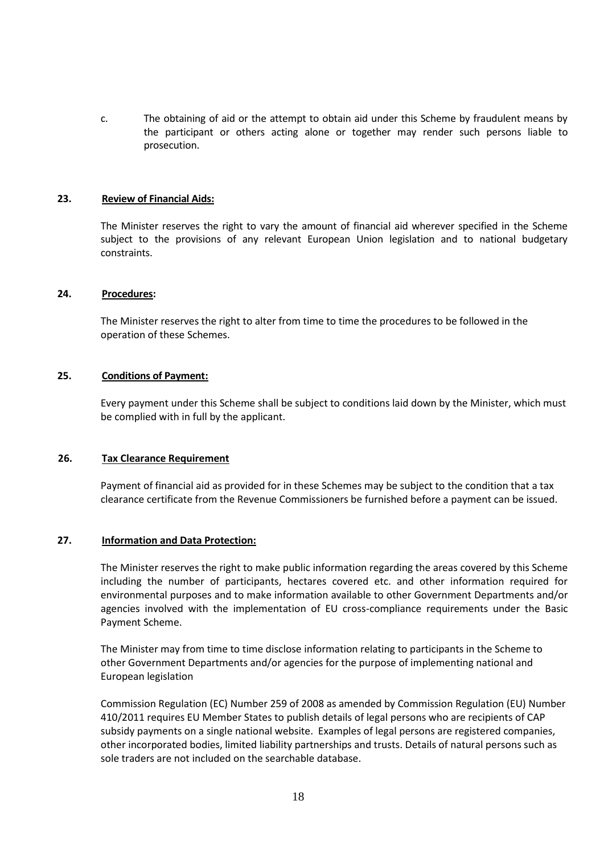c. The obtaining of aid or the attempt to obtain aid under this Scheme by fraudulent means by the participant or others acting alone or together may render such persons liable to prosecution.

#### **23. Review of Financial Aids:**

The Minister reserves the right to vary the amount of financial aid wherever specified in the Scheme subject to the provisions of any relevant European Union legislation and to national budgetary constraints.

#### **24. Procedures:**

The Minister reserves the right to alter from time to time the procedures to be followed in the operation of these Schemes.

#### **25. Conditions of Payment:**

Every payment under this Scheme shall be subject to conditions laid down by the Minister, which must be complied with in full by the applicant.

#### **26. Tax Clearance Requirement**

Payment of financial aid as provided for in these Schemes may be subject to the condition that a tax clearance certificate from the Revenue Commissioners be furnished before a payment can be issued.

#### **27. Information and Data Protection:**

The Minister reserves the right to make public information regarding the areas covered by this Scheme including the number of participants, hectares covered etc. and other information required for environmental purposes and to make information available to other Government Departments and/or agencies involved with the implementation of EU cross-compliance requirements under the Basic Payment Scheme.

The Minister may from time to time disclose information relating to participants in the Scheme to other Government Departments and/or agencies for the purpose of implementing national and European legislation

Commission Regulation (EC) Number 259 of 2008 as amended by Commission Regulation (EU) Number 410/2011 requires EU Member States to publish details of legal persons who are recipients of CAP subsidy payments on a single national website. Examples of legal persons are registered companies, other incorporated bodies, limited liability partnerships and trusts. Details of natural persons such as sole traders are not included on the searchable database.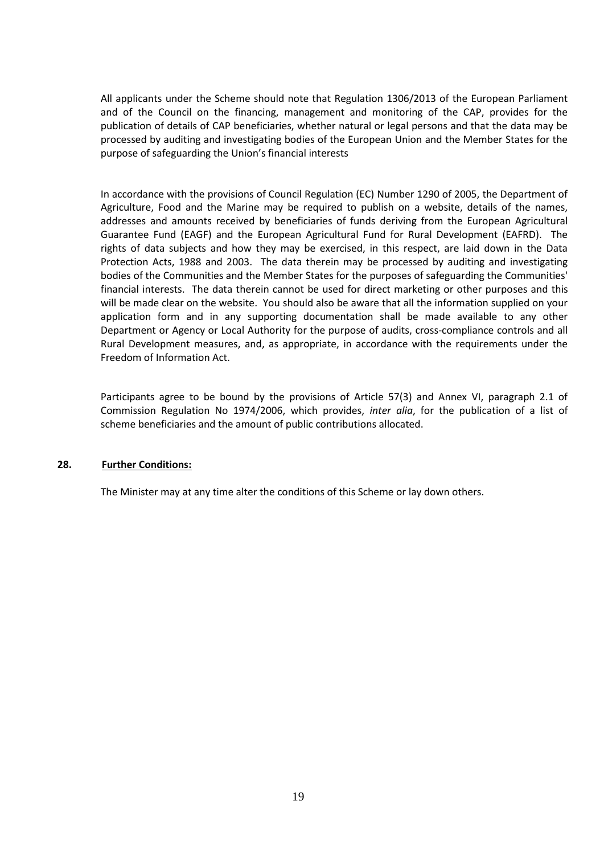All applicants under the Scheme should note that Regulation 1306/2013 of the European Parliament and of the Council on the financing, management and monitoring of the CAP, provides for the publication of details of CAP beneficiaries, whether natural or legal persons and that the data may be processed by auditing and investigating bodies of the European Union and the Member States for the purpose of safeguarding the Union's financial interests

In accordance with the provisions of Council Regulation (EC) Number 1290 of 2005, the Department of Agriculture, Food and the Marine may be required to publish on a website, details of the names, addresses and amounts received by beneficiaries of funds deriving from the European Agricultural Guarantee Fund (EAGF) and the European Agricultural Fund for Rural Development (EAFRD). The rights of data subjects and how they may be exercised, in this respect, are laid down in the Data Protection Acts, 1988 and 2003. The data therein may be processed by auditing and investigating bodies of the Communities and the Member States for the purposes of safeguarding the Communities' financial interests. The data therein cannot be used for direct marketing or other purposes and this will be made clear on the website. You should also be aware that all the information supplied on your application form and in any supporting documentation shall be made available to any other Department or Agency or Local Authority for the purpose of audits, cross-compliance controls and all Rural Development measures, and, as appropriate, in accordance with the requirements under the Freedom of Information Act.

Participants agree to be bound by the provisions of Article 57(3) and Annex VI, paragraph 2.1 of Commission Regulation No 1974/2006, which provides, *inter alia*, for the publication of a list of scheme beneficiaries and the amount of public contributions allocated.

#### **28. Further Conditions:**

The Minister may at any time alter the conditions of this Scheme or lay down others.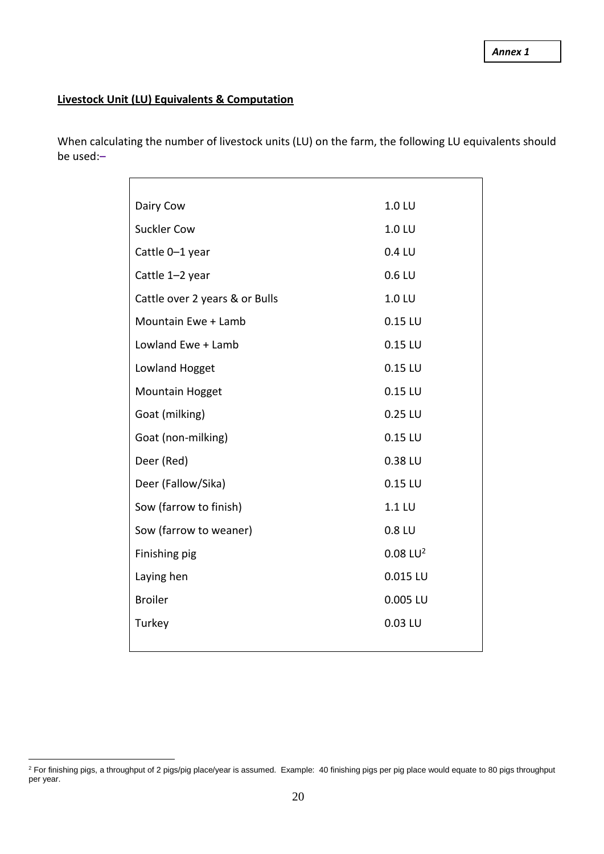## **Livestock Unit (LU) Equivalents & Computation**

When calculating the number of livestock units (LU) on the farm, the following LU equivalents should be used:**–**

| Dairy Cow                      | 1.0 LU              |
|--------------------------------|---------------------|
| <b>Suckler Cow</b>             | 1.0 LU              |
| Cattle 0-1 year                | 0.4 LU              |
| Cattle 1-2 year                | $0.6$ LU            |
| Cattle over 2 years & or Bulls | 1.0 LU              |
| Mountain Ewe + Lamb            | $0.15$ LU           |
| Lowland Ewe + Lamb             | $0.15$ LU           |
| Lowland Hogget                 | $0.15$ LU           |
| Mountain Hogget                | $0.15$ LU           |
| Goat (milking)                 | $0.25$ LU           |
| Goat (non-milking)             | $0.15$ LU           |
| Deer (Red)                     | 0.38 LU             |
| Deer (Fallow/Sika)             | $0.15$ LU           |
| Sow (farrow to finish)         | 1.1 LU              |
| Sow (farrow to weaner)         | 0.8 LU              |
| Finishing pig                  | $0.08 \text{ LU}^2$ |
| Laying hen                     | 0.015 LU            |
| <b>Broiler</b>                 | 0.005 LU            |
| Turkey                         | 0.03 LU             |
|                                |                     |

 $\overline{a}$ <sup>2</sup> For finishing pigs, a throughput of 2 pigs/pig place/year is assumed. Example: 40 finishing pigs per pig place would equate to 80 pigs throughput per year.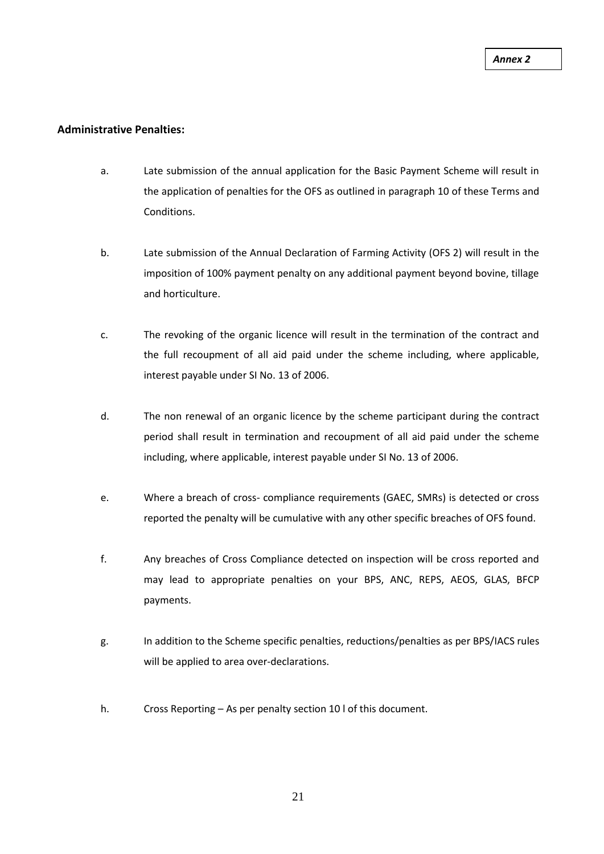#### **Administrative Penalties:**

- a. Late submission of the annual application for the Basic Payment Scheme will result in the application of penalties for the OFS as outlined in paragraph 10 of these Terms and Conditions.
- b. Late submission of the Annual Declaration of Farming Activity (OFS 2) will result in the imposition of 100% payment penalty on any additional payment beyond bovine, tillage and horticulture.
- c. The revoking of the organic licence will result in the termination of the contract and the full recoupment of all aid paid under the scheme including, where applicable, interest payable under SI No. 13 of 2006.
- d. The non renewal of an organic licence by the scheme participant during the contract period shall result in termination and recoupment of all aid paid under the scheme including, where applicable, interest payable under SI No. 13 of 2006.
- e. Where a breach of cross- compliance requirements (GAEC, SMRs) is detected or cross reported the penalty will be cumulative with any other specific breaches of OFS found.
- f. Any breaches of Cross Compliance detected on inspection will be cross reported and may lead to appropriate penalties on your BPS, ANC, REPS, AEOS, GLAS, BFCP payments.
- g. In addition to the Scheme specific penalties, reductions/penalties as per BPS/IACS rules will be applied to area over-declarations.
- h. Cross Reporting As per penalty section 10 l of this document.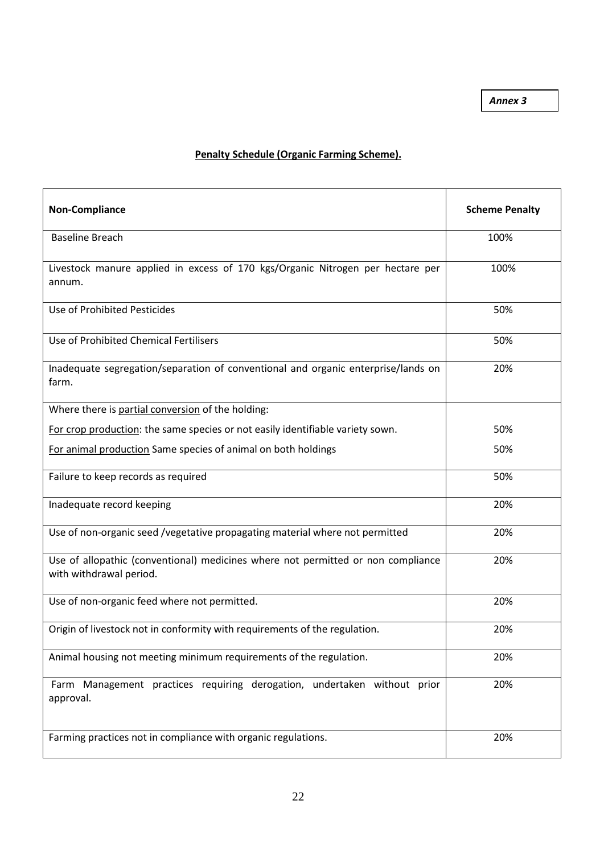*Annex 3*

### **Penalty Schedule (Organic Farming Scheme).**

| <b>Non-Compliance</b>                                                                                       | <b>Scheme Penalty</b> |
|-------------------------------------------------------------------------------------------------------------|-----------------------|
| <b>Baseline Breach</b>                                                                                      | 100%                  |
| Livestock manure applied in excess of 170 kgs/Organic Nitrogen per hectare per<br>annum.                    | 100%                  |
| Use of Prohibited Pesticides                                                                                | 50%                   |
| Use of Prohibited Chemical Fertilisers                                                                      | 50%                   |
| Inadequate segregation/separation of conventional and organic enterprise/lands on<br>farm.                  | 20%                   |
| Where there is partial conversion of the holding:                                                           |                       |
| For crop production: the same species or not easily identifiable variety sown.                              | 50%                   |
| For animal production Same species of animal on both holdings                                               | 50%                   |
| Failure to keep records as required                                                                         | 50%                   |
| Inadequate record keeping                                                                                   | 20%                   |
| Use of non-organic seed /vegetative propagating material where not permitted                                | 20%                   |
| Use of allopathic (conventional) medicines where not permitted or non compliance<br>with withdrawal period. | 20%                   |
| Use of non-organic feed where not permitted.                                                                | 20%                   |
| Origin of livestock not in conformity with requirements of the regulation.                                  | 20%                   |
| Animal housing not meeting minimum requirements of the regulation.                                          | 20%                   |
| Farm Management practices requiring derogation, undertaken without prior<br>approval.                       | 20%                   |
| Farming practices not in compliance with organic regulations.                                               | 20%                   |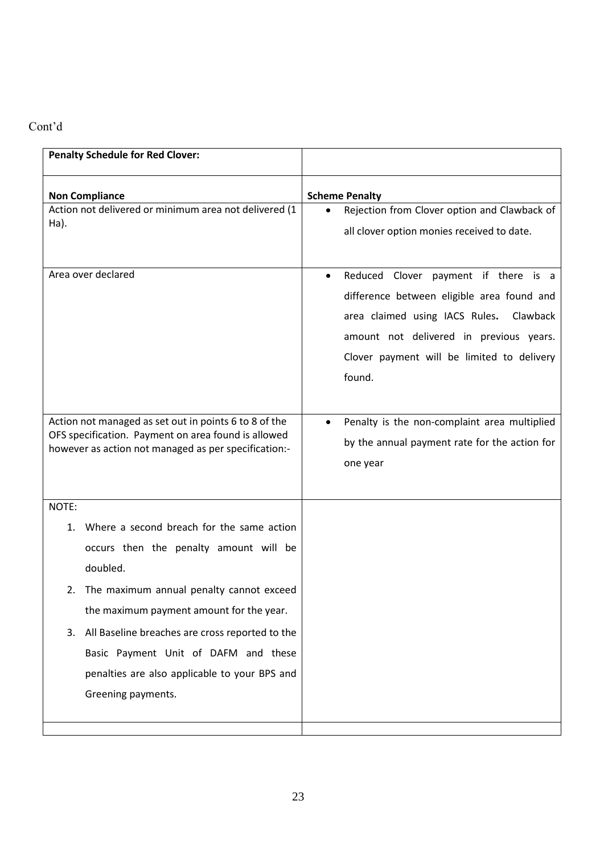## Cont'd

| <b>Penalty Schedule for Red Clover:</b>                                                                                                                                                                                                                                                                                                                                              |                                                                                                                                                                                                                                                  |
|--------------------------------------------------------------------------------------------------------------------------------------------------------------------------------------------------------------------------------------------------------------------------------------------------------------------------------------------------------------------------------------|--------------------------------------------------------------------------------------------------------------------------------------------------------------------------------------------------------------------------------------------------|
| <b>Non Compliance</b><br>Action not delivered or minimum area not delivered (1<br>$Ha$ ).                                                                                                                                                                                                                                                                                            | <b>Scheme Penalty</b><br>Rejection from Clover option and Clawback of<br>all clover option monies received to date.                                                                                                                              |
| Area over declared                                                                                                                                                                                                                                                                                                                                                                   | Reduced Clover payment if there is a<br>$\bullet$<br>difference between eligible area found and<br>area claimed using IACS Rules.<br>Clawback<br>amount not delivered in previous years.<br>Clover payment will be limited to delivery<br>found. |
| Action not managed as set out in points 6 to 8 of the<br>OFS specification. Payment on area found is allowed<br>however as action not managed as per specification:-                                                                                                                                                                                                                 | Penalty is the non-complaint area multiplied<br>by the annual payment rate for the action for<br>one year                                                                                                                                        |
| NOTE:<br>Where a second breach for the same action<br>1.<br>occurs then the penalty amount will be<br>doubled.<br>The maximum annual penalty cannot exceed<br>2.<br>the maximum payment amount for the year.<br>All Baseline breaches are cross reported to the<br>3.<br>Basic Payment Unit of DAFM and these<br>penalties are also applicable to your BPS and<br>Greening payments. |                                                                                                                                                                                                                                                  |
|                                                                                                                                                                                                                                                                                                                                                                                      |                                                                                                                                                                                                                                                  |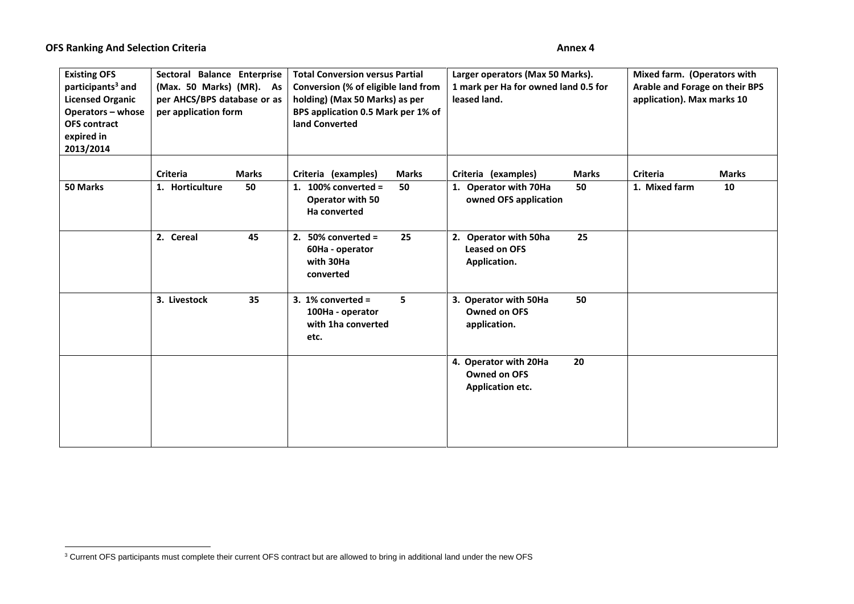$\overline{a}$ 

| <b>Existing OFS</b><br>participants <sup>3</sup> and<br><b>Licensed Organic</b><br>Operators - whose<br><b>OFS contract</b><br>expired in<br>2013/2014 | Sectoral Balance Enterprise<br>(Max. 50 Marks) (MR). As<br>per AHCS/BPS database or as<br>per application form | <b>Total Conversion versus Partial</b><br>Conversion (% of eligible land from<br>holding) (Max 50 Marks) as per<br>BPS application 0.5 Mark per 1% of<br>land Converted | Larger operators (Max 50 Marks).<br>1 mark per Ha for owned land 0.5 for<br>leased land.    | Mixed farm. (Operators with<br>Arable and Forage on their BPS<br>application). Max marks 10 |  |  |
|--------------------------------------------------------------------------------------------------------------------------------------------------------|----------------------------------------------------------------------------------------------------------------|-------------------------------------------------------------------------------------------------------------------------------------------------------------------------|---------------------------------------------------------------------------------------------|---------------------------------------------------------------------------------------------|--|--|
| 50 Marks                                                                                                                                               | <b>Criteria</b><br><b>Marks</b><br>1. Horticulture<br>50                                                       | Criteria (examples)<br><b>Marks</b><br>1. 100% converted $=$<br>50<br>Operator with 50<br>Ha converted                                                                  | Criteria (examples)<br><b>Marks</b><br>1. Operator with 70Ha<br>50<br>owned OFS application | <b>Criteria</b><br><b>Marks</b><br>1. Mixed farm<br>10                                      |  |  |
|                                                                                                                                                        | 2. Cereal<br>45                                                                                                | 25<br>2. $50\%$ converted =<br>60Ha - operator<br>with 30Ha<br>converted                                                                                                | 2. Operator with 50ha<br>25<br><b>Leased on OFS</b><br>Application.                         |                                                                                             |  |  |
|                                                                                                                                                        | 3. Livestock<br>35                                                                                             | 3. 1% converted $=$<br>5<br>100Ha - operator<br>with 1ha converted<br>etc.                                                                                              | 3. Operator with 50Ha<br>50<br><b>Owned on OFS</b><br>application.                          |                                                                                             |  |  |
|                                                                                                                                                        |                                                                                                                |                                                                                                                                                                         | 20<br>4. Operator with 20Ha<br><b>Owned on OFS</b><br><b>Application etc.</b>               |                                                                                             |  |  |

 $3$  Current OFS participants must complete their current OFS contract but are allowed to bring in additional land under the new OFS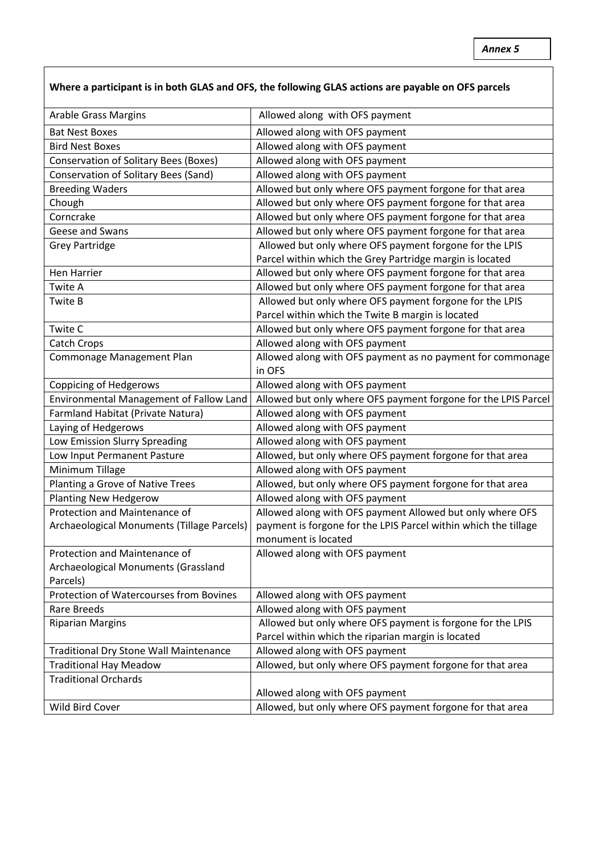## **Where a participant is in both GLAS and OFS, the following GLAS actions are payable on OFS parcels**

| <b>Arable Grass Margins</b>                   | Allowed along with OFS payment                                  |
|-----------------------------------------------|-----------------------------------------------------------------|
| <b>Bat Nest Boxes</b>                         | Allowed along with OFS payment                                  |
| <b>Bird Nest Boxes</b>                        | Allowed along with OFS payment                                  |
| <b>Conservation of Solitary Bees (Boxes)</b>  | Allowed along with OFS payment                                  |
| Conservation of Solitary Bees (Sand)          | Allowed along with OFS payment                                  |
| <b>Breeding Waders</b>                        | Allowed but only where OFS payment forgone for that area        |
| Chough                                        | Allowed but only where OFS payment forgone for that area        |
| Corncrake                                     | Allowed but only where OFS payment forgone for that area        |
| Geese and Swans                               | Allowed but only where OFS payment forgone for that area        |
| <b>Grey Partridge</b>                         | Allowed but only where OFS payment forgone for the LPIS         |
|                                               | Parcel within which the Grey Partridge margin is located        |
| Hen Harrier                                   | Allowed but only where OFS payment forgone for that area        |
| Twite A                                       | Allowed but only where OFS payment forgone for that area        |
| Twite B                                       | Allowed but only where OFS payment forgone for the LPIS         |
|                                               | Parcel within which the Twite B margin is located               |
| Twite C                                       | Allowed but only where OFS payment forgone for that area        |
| <b>Catch Crops</b>                            | Allowed along with OFS payment                                  |
| Commonage Management Plan                     | Allowed along with OFS payment as no payment for commonage      |
|                                               | in OFS                                                          |
| <b>Coppicing of Hedgerows</b>                 | Allowed along with OFS payment                                  |
| Environmental Management of Fallow Land       | Allowed but only where OFS payment forgone for the LPIS Parcel  |
| Farmland Habitat (Private Natura)             | Allowed along with OFS payment                                  |
| Laying of Hedgerows                           | Allowed along with OFS payment                                  |
| Low Emission Slurry Spreading                 | Allowed along with OFS payment                                  |
| Low Input Permanent Pasture                   | Allowed, but only where OFS payment forgone for that area       |
| Minimum Tillage                               | Allowed along with OFS payment                                  |
| Planting a Grove of Native Trees              | Allowed, but only where OFS payment forgone for that area       |
| <b>Planting New Hedgerow</b>                  | Allowed along with OFS payment                                  |
| Protection and Maintenance of                 | Allowed along with OFS payment Allowed but only where OFS       |
| Archaeological Monuments (Tillage Parcels)    | payment is forgone for the LPIS Parcel within which the tillage |
|                                               | monument is located                                             |
| Protection and Maintenance of                 | Allowed along with OFS payment                                  |
| Archaeological Monuments (Grassland           |                                                                 |
| Parcels)                                      |                                                                 |
| Protection of Watercourses from Bovines       | Allowed along with OFS payment                                  |
| Rare Breeds                                   | Allowed along with OFS payment                                  |
| <b>Riparian Margins</b>                       | Allowed but only where OFS payment is forgone for the LPIS      |
|                                               | Parcel within which the riparian margin is located              |
| <b>Traditional Dry Stone Wall Maintenance</b> | Allowed along with OFS payment                                  |
| <b>Traditional Hay Meadow</b>                 | Allowed, but only where OFS payment forgone for that area       |
| <b>Traditional Orchards</b>                   |                                                                 |
|                                               | Allowed along with OFS payment                                  |
| Wild Bird Cover                               | Allowed, but only where OFS payment forgone for that area       |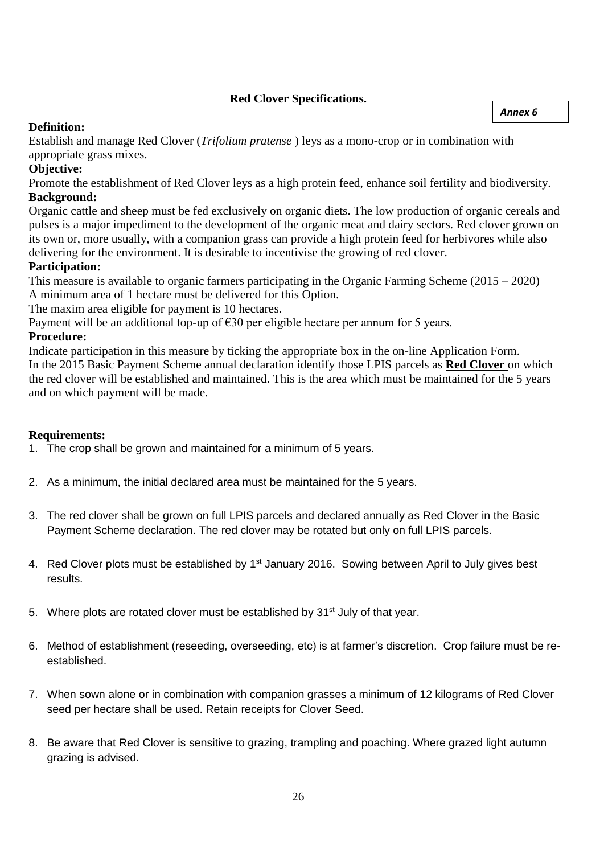## **Red Clover Specifications.**

#### *Annex 6*

## **Definition:**

Establish and manage Red Clover (*Trifolium pratense* ) leys as a mono-crop or in combination with appropriate grass mixes.

## **Objective:**

Promote the establishment of Red Clover leys as a high protein feed, enhance soil fertility and biodiversity. **Background:**

Organic cattle and sheep must be fed exclusively on organic diets. The low production of organic cereals and pulses is a major impediment to the development of the organic meat and dairy sectors. Red clover grown on its own or, more usually, with a companion grass can provide a high protein feed for herbivores while also delivering for the environment. It is desirable to incentivise the growing of red clover.

## **Participation:**

This measure is available to organic farmers participating in the Organic Farming Scheme (2015 – 2020) A minimum area of 1 hectare must be delivered for this Option.

The maxim area eligible for payment is 10 hectares.

Payment will be an additional top-up of  $\epsilon$ 30 per eligible hectare per annum for 5 years.

### **Procedure:**

Indicate participation in this measure by ticking the appropriate box in the on-line Application Form. In the 2015 Basic Payment Scheme annual declaration identify those LPIS parcels as **Red Clover** on which the red clover will be established and maintained. This is the area which must be maintained for the 5 years and on which payment will be made.

## **Requirements:**

- 1. The crop shall be grown and maintained for a minimum of 5 years.
- 2. As a minimum, the initial declared area must be maintained for the 5 years.
- 3. The red clover shall be grown on full LPIS parcels and declared annually as Red Clover in the Basic Payment Scheme declaration. The red clover may be rotated but only on full LPIS parcels.
- 4. Red Clover plots must be established by 1<sup>st</sup> January 2016. Sowing between April to July gives best results.
- 5. Where plots are rotated clover must be established by  $31<sup>st</sup>$  July of that year.
- 6. Method of establishment (reseeding, overseeding, etc) is at farmer's discretion. Crop failure must be reestablished.
- 7. When sown alone or in combination with companion grasses a minimum of 12 kilograms of Red Clover seed per hectare shall be used. Retain receipts for Clover Seed.
- 8. Be aware that Red Clover is sensitive to grazing, trampling and poaching. Where grazed light autumn grazing is advised.